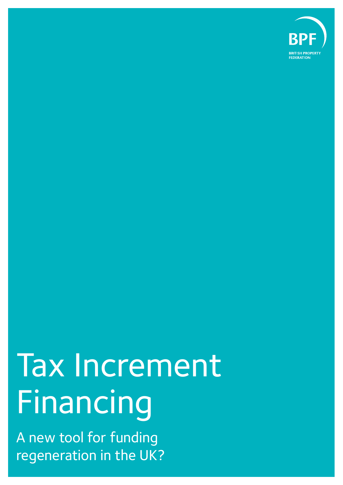

# Tax Increment Financing

A new tool for funding regeneration in the UK?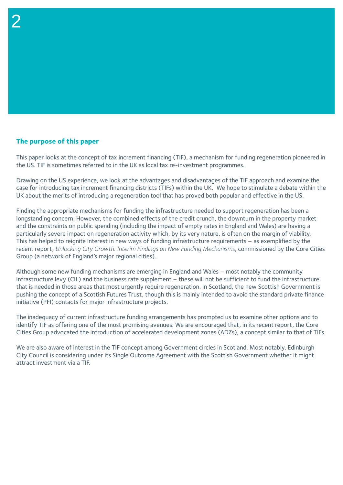## **The purpose of this paper**

2

This paper looks at the concept of tax increment financing (TIF), a mechanism for funding regeneration pioneered in the US. TIF is sometimes referred to in the UK as local tax re-investment programmes.

Drawing on the US experience, we look at the advantages and disadvantages of the TIF approach and examine the case for introducing tax increment financing districts (TIFs) within the UK. We hope to stimulate a debate within the UK about the merits of introducing a regeneration tool that has proved both popular and effective in the US.

Finding the appropriate mechanisms for funding the infrastructure needed to support regeneration has been a longstanding concern. However, the combined effects of the credit crunch, the downturn in the property market and the constraints on public spending (including the impact of empty rates in England and Wales) are having a particularly severe impact on regeneration activity which, by its very nature, is often on the margin of viability. This has helped to reignite interest in new ways of funding infrastructure requirements – as exemplified by the recent report, *Unlocking City Growth: Interim Findings on New Funding Mechanisms*, commissioned by the Core Cities Group (a network of England's major regional cities).

Although some new funding mechanisms are emerging in England and Wales – most notably the community infrastructure levy (CIL) and the business rate supplement – these will not be sufficient to fund the infrastructure that is needed in those areas that most urgently require regeneration. In Scotland, the new Scottish Government is pushing the concept of a Scottish Futures Trust, though this is mainly intended to avoid the standard private finance initiative (PFI) contacts for major infrastructure projects.

The inadequacy of current infrastructure funding arrangements has prompted us to examine other options and to identify TIF as offering one of the most promising avenues. We are encouraged that, in its recent report, the Core Cities Group advocated the introduction of accelerated development zones (ADZs), a concept similar to that of TIFs.

We are also aware of interest in the TIF concept among Government circles in Scotland. Most notably, Edinburgh City Council is considering under its Single Outcome Agreement with the Scottish Government whether it might attract investment via a TIF.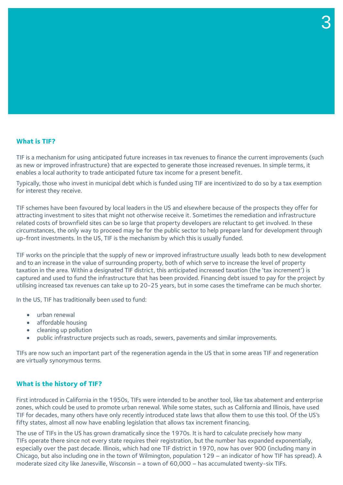## **What is TIF?**

TIF is a mechanism for using anticipated future increases in tax revenues to finance the current improvements (such as new or improved infrastructure) that are expected to generate those increased revenues. In simple terms, it enables a local authority to trade anticipated future tax income for a present benefit.

Typically, those who invest in municipal debt which is funded using TIF are incentivized to do so by a tax exemption for interest they receive.

TIF schemes have been favoured by local leaders in the US and elsewhere because of the prospects they offer for attracting investment to sites that might not otherwise receive it. Sometimes the remediation and infrastructure related costs of brownfield sites can be so large that property developers are reluctant to get involved. In these circumstances, the only way to proceed may be for the public sector to help prepare land for development through up-front investments. In the US, TIF is the mechanism by which this is usually funded.

TIF works on the principle that the supply of new or improved infrastructure usually leads both to new development and to an increase in the value of surrounding property, both of which serve to increase the level of property taxation in the area. Within a designated TIF district, this anticipated increased taxation (the 'tax increment') is captured and used to fund the infrastructure that has been provided. Financing debt issued to pay for the project by utilising increased tax revenues can take up to 20-25 years, but in some cases the timeframe can be much shorter.

In the US, TIF has traditionally been used to fund:

- urban renewal
- affordable housing
- cleaning up pollution
- public infrastructure projects such as roads, sewers, pavements and similar improvements.

TIFs are now such an important part of the regeneration agenda in the US that in some areas TIF and regeneration are virtually synonymous terms.

### **What is the history of TIF?**

First introduced in California in the 1950s, TIFs were intended to be another tool, like tax abatement and enterprise zones, which could be used to promote urban renewal. While some states, such as California and Illinois, have used TIF for decades, many others have only recently introduced state laws that allow them to use this tool. Of the US's fifty states, almost all now have enabling legislation that allows tax increment financing.

The use of TIFs in the US has grown dramatically since the 1970s. It is hard to calculate precisely how many TIFs operate there since not every state requires their registration, but the number has expanded exponentially, especially over the past decade. Illinois, which had one TIF district in 1970, now has over 900 (including many in Chicago, but also including one in the town of Wilmington, population 129 – an indicator of how TIF has spread). A moderate sized city like Janesville, Wisconsin – a town of 60,000 – has accumulated twenty-six TIFs.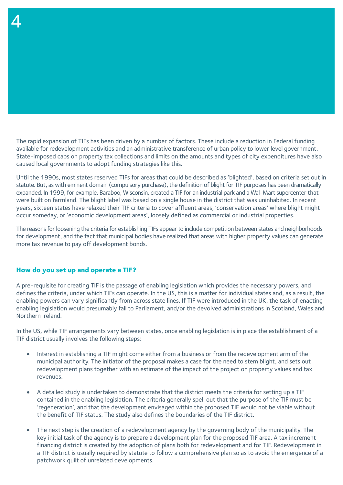The rapid expansion of TIFs has been driven by a number of factors. These include a reduction in Federal funding available for redevelopment activities and an administrative transference of urban policy to lower level government. State-imposed caps on property tax collections and limits on the amounts and types of city expenditures have also caused local governments to adopt funding strategies like this.

Until the 1990s, most states reserved TIFs for areas that could be described as 'blighted', based on criteria set out in statute. But, as with eminent domain (compulsory purchase), the definition of blight for TIF purposes has been dramatically expanded. In 1999, for example, Baraboo, Wisconsin, created a TIF for an industrial park and a Wal-Mart supercenter that were built on farmland. The blight label was based on a single house in the district that was uninhabited. In recent years, sixteen states have relaxed their TIF criteria to cover affluent areas, 'conservation areas' where blight might occur someday, or 'economic development areas', loosely defined as commercial or industrial properties.

The reasons for loosening the criteria for establishing TIFs appear to include competition between states and neighborhoods for development, and the fact that municipal bodies have realized that areas with higher property values can generate more tax revenue to pay off development bonds.

#### **How do you set up and operate a TIF?**

4

A pre-requisite for creating TIF is the passage of enabling legislation which provides the necessary powers, and defines the criteria, under which TIFs can operate. In the US, this is a matter for individual states and, as a result, the enabling powers can vary significantly from across state lines. If TIF were introduced in the UK, the task of enacting enabling legislation would presumably fall to Parliament, and/or the devolved administrations in Scotland, Wales and Northern Ireland.

In the US, while TIF arrangements vary between states, once enabling legislation is in place the establishment of a TIF district usually involves the following steps:

- Interest in establishing a TIF might come either from a business or from the redevelopment arm of the municipal authority. The initiator of the proposal makes a case for the need to stem blight, and sets out redevelopment plans together with an estimate of the impact of the project on property values and tax revenues.
- A detailed study is undertaken to demonstrate that the district meets the criteria for setting up a TIF contained in the enabling legislation. The criteria generally spell out that the purpose of the TIF must be 'regeneration', and that the development envisaged within the proposed TIF would not be viable without the benefit of TIF status. The study also defines the boundaries of the TIF district.
- The next step is the creation of a redevelopment agency by the governing body of the municipality. The key initial task of the agency is to prepare a development plan for the proposed TIF area. A tax increment financing district is created by the adoption of plans both for redevelopment and for TIF. Redevelopment in a TIF district is usually required by statute to follow a comprehensive plan so as to avoid the emergence of a patchwork quilt of unrelated developments.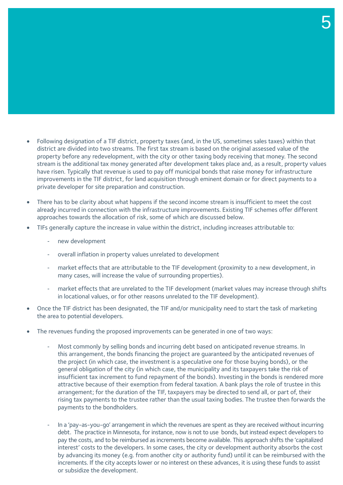- Following designation of a TIF district, property taxes (and, in the US, sometimes sales taxes) within that district are divided into two streams. The first tax stream is based on the original assessed value of the property before any redevelopment, with the city or other taxing body receiving that money. The second stream is the additional tax money generated after development takes place and, as a result, property values have risen. Typically that revenue is used to pay off municipal bonds that raise money for infrastructure improvements in the TIF district, for land acquisition through eminent domain or for direct payments to a private developer for site preparation and construction.
- There has to be clarity about what happens if the second income stream is insufficient to meet the cost already incurred in connection with the infrastructure improvements. Existing TIF schemes offer different approaches towards the allocation of risk, some of which are discussed below.
- TIFs generally capture the increase in value within the district, including increases attributable to:
	- new development
	- overall inflation in property values unrelated to development
	- market effects that are attributable to the TIF development (proximity to a new development, in many cases, will increase the value of surrounding properties).
	- market effects that are unrelated to the TIF development (market values may increase through shifts in locational values, or for other reasons unrelated to the TIF development).
- Once the TIF district has been designated, the TIF and/or municipality need to start the task of marketing the area to potential developers.
- The revenues funding the proposed improvements can be generated in one of two ways:
	- Most commonly by selling bonds and incurring debt based on anticipated revenue streams. In this arrangement, the bonds financing the project are guaranteed by the anticipated revenues of the project (in which case, the investment is a speculative one for those buying bonds), or the general obligation of the city (in which case, the municipality and its taxpayers take the risk of insufficient tax increment to fund repayment of the bonds). Investing in the bonds is rendered more attractive because of their exemption from federal taxation. A bank plays the role of trustee in this arrangement; for the duration of the TIF, taxpayers may be directed to send all, or part of, their rising tax payments to the trustee rather than the usual taxing bodies. The trustee then forwards the payments to the bondholders.
	- In a 'pay-as-you-go' arrangement in which the revenues are spent as they are received without incurring debt. The practice in Minnesota, for instance, now is not to use bonds, but instead expect developers to pay the costs, and to be reimbursed as increments become available. This approach shifts the 'capitalized interest' costs to the developers. In some cases, the city or development authority absorbs the cost by advancing its money (e.g. from another city or authority fund) until it can be reimbursed with the increments. If the city accepts lower or no interest on these advances, it is using these funds to assist or subsidize the development.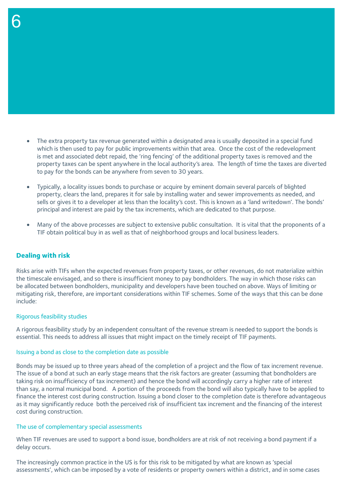- The extra property tax revenue generated within a designated area is usually deposited in a special fund which is then used to pay for public improvements within that area. Once the cost of the redevelopment is met and associated debt repaid, the 'ring fencing' of the additional property taxes is removed and the property taxes can be spent anywhere in the local authority's area. The length of time the taxes are diverted to pay for the bonds can be anywhere from seven to 30 years.
- Typically, a locality issues bonds to purchase or acquire by eminent domain several parcels of blighted property, clears the land, prepares it for sale by installing water and sewer improvements as needed, and sells or gives it to a developer at less than the locality's cost. This is known as a 'land writedown'. The bonds' principal and interest are paid by the tax increments, which are dedicated to that purpose.
- Many of the above processes are subject to extensive public consultation. It is vital that the proponents of a TIF obtain political buy in as well as that of neighborhood groups and local business leaders.

# **Dealing with risk**

6

Risks arise with TIFs when the expected revenues from property taxes, or other revenues, do not materialize within the timescale envisaged, and so there is insufficient money to pay bondholders. The way in which those risks can be allocated between bondholders, municipality and developers have been touched on above. Ways of limiting or mitigating risk, therefore, are important considerations within TIF schemes. Some of the ways that this can be done include:

## Rigorous feasibility studies

A rigorous feasibility study by an independent consultant of the revenue stream is needed to support the bonds is essential. This needs to address all issues that might impact on the timely receipt of TIF payments.

## Issuing a bond as close to the completion date as possible

Bonds may be issued up to three years ahead of the completion of a project and the flow of tax increment revenue. The issue of a bond at such an early stage means that the risk factors are greater (assuming that bondholders are taking risk on insufficiency of tax increment) and hence the bond will accordingly carry a higher rate of interest than say, a normal municipal bond. A portion of the proceeds from the bond will also typically have to be applied to finance the interest cost during construction. Issuing a bond closer to the completion date is therefore advantageous as it may significantly reduce both the perceived risk of insufficient tax increment and the financing of the interest cost during construction.

## The use of complementary special assessments

When TIF revenues are used to support a bond issue, bondholders are at risk of not receiving a bond payment if a delay occurs.

The increasingly common practice in the US is for this risk to be mitigated by what are known as 'special assessments', which can be imposed by a vote of residents or property owners within a district, and in some cases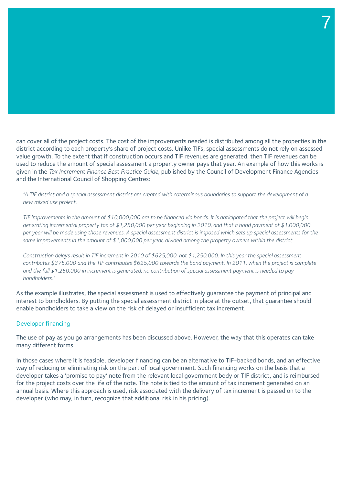#### can cover all of the project costs. The cost of the improvements needed is distributed among all the properties in the district according to each property's share of project costs. Unlike TIFs, special assessments do not rely on assessed value growth. To the extent that if construction occurs and TIF revenues are generated, then TIF revenues can be used to reduce the amount of special assessment a property owner pays that year. An example of how this works is given in the *Tax Increment Finance Best Practice Guide*, published by the Council of Development Finance Agencies and the International Council of Shopping Centres:

7

*"A TIF district and a special assessment district are created with coterminous boundaries to support the development of a new mixed use project.* 

*TIF improvements in the amount of \$10,000,000 are to be financed via bonds. It is anticipated that the project will begin generating incremental property tax of \$1,250,000 per year beginning in 2010, and that a bond payment of \$1,000,000 per year will be made using those revenues. A special assessment district is imposed which sets up special assessments for the same improvements in the amount of \$1,000,000 per year, divided among the property owners within the district.*

*Construction delays result in TIF increment in 2010 of \$625,000, not \$1,250,000. In this year the special assessment contributes \$375,000 and the TIF contributes \$625,000 towards the bond payment. In 2011, when the project is complete and the full \$1,250,000 in increment is generated, no contribution of special assessment payment is needed to pay bondholders."* 

As the example illustrates, the special assessment is used to effectively guarantee the payment of principal and interest to bondholders. By putting the special assessment district in place at the outset, that guarantee should enable bondholders to take a view on the risk of delayed or insufficient tax increment.

#### Developer financing

The use of pay as you go arrangements has been discussed above. However, the way that this operates can take many different forms.

In those cases where it is feasible, developer financing can be an alternative to TIF-backed bonds, and an effective way of reducing or eliminating risk on the part of local government. Such financing works on the basis that a developer takes a 'promise to pay' note from the relevant local government body or TIF district, and is reimbursed for the project costs over the life of the note. The note is tied to the amount of tax increment generated on an annual basis. Where this approach is used, risk associated with the delivery of tax increment is passed on to the developer (who may, in turn, recognize that additional risk in his pricing).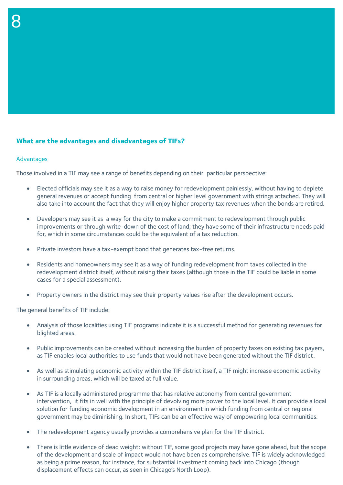## **What are the advantages and disadvantages of TIFs?**

#### Advantages

8

Those involved in a TIF may see a range of benefits depending on their particular perspective:

- Elected officials may see it as a way to raise money for redevelopment painlessly, without having to deplete general revenues or accept funding from central or higher level government with strings attached. They will also take into account the fact that they will enjoy higher property tax revenues when the bonds are retired.
- Developers may see it as a way for the city to make a commitment to redevelopment through public improvements or through write-down of the cost of land; they have some of their infrastructure needs paid for, which in some circumstances could be the equivalent of a tax reduction.
- Private investors have a tax-exempt bond that generates tax-free returns.
- Residents and homeowners may see it as a way of funding redevelopment from taxes collected in the redevelopment district itself, without raising their taxes (although those in the TIF could be liable in some cases for a special assessment).
- Property owners in the district may see their property values rise after the development occurs.

The general benefits of TIF include:

- Analysis of those localities using TIF programs indicate it is a successful method for generating revenues for blighted areas.
- Public improvements can be created without increasing the burden of property taxes on existing tax payers, as TIF enables local authorities to use funds that would not have been generated without the TIF district.
- As well as stimulating economic activity within the TIF district itself, a TIF might increase economic activity in surrounding areas, which will be taxed at full value.
- As TIF is a locally administered programme that has relative autonomy from central government intervention, it fits in well with the principle of devolving more power to the local level. It can provide a local solution for funding economic development in an environment in which funding from central or regional government may be diminishing. In short, TIFs can be an effective way of empowering local communities.
- The redevelopment agency usually provides a comprehensive plan for the TIF district.
- There is little evidence of dead weight: without TIF, some good projects may have gone ahead, but the scope of the development and scale of impact would not have been as comprehensive. TIF is widely acknowledged as being a prime reason, for instance, for substantial investment coming back into Chicago (though displacement effects can occur, as seen in Chicago's North Loop).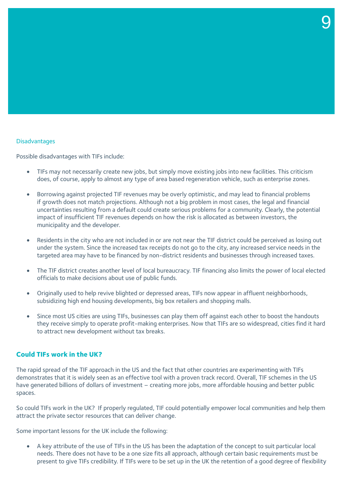#### **Disadvantages**

Possible disadvantages with TIFs include:

- TIFs may not necessarily create new jobs, but simply move existing jobs into new facilities. This criticism does, of course, apply to almost any type of area based regeneration vehicle, such as enterprise zones.
- Borrowing against projected TIF revenues may be overly optimistic, and may lead to financial problems if growth does not match projections. Although not a big problem in most cases, the legal and financial uncertainties resulting from a default could create serious problems for a community. Clearly, the potential impact of insufficient TIF revenues depends on how the risk is allocated as between investors, the municipality and the developer.
- Residents in the city who are not included in or are not near the TIF district could be perceived as losing out under the system. Since the increased tax receipts do not go to the city, any increased service needs in the targeted area may have to be financed by non-district residents and businesses through increased taxes.
- The TIF district creates another level of local bureaucracy. TIF financing also limits the power of local elected officials to make decisions about use of public funds.
- Originally used to help revive blighted or depressed areas, TIFs now appear in affluent neighborhoods, subsidizing high end housing developments, big box retailers and shopping malls.
- Since most US cities are using TIFs, businesses can play them off against each other to boost the handouts they receive simply to operate profit-making enterprises. Now that TIFs are so widespread, cities find it hard to attract new development without tax breaks.

#### **Could TIFs work in the UK?**

The rapid spread of the TIF approach in the US and the fact that other countries are experimenting with TIFs demonstrates that it is widely seen as an effective tool with a proven track record. Overall, TIF schemes in the US have generated billions of dollars of investment – creating more jobs, more affordable housing and better public spaces.

So could TIFs work in the UK? If properly regulated, TIF could potentially empower local communities and help them attract the private sector resources that can deliver change.

Some important lessons for the UK include the following:

• A key attribute of the use of TIFs in the US has been the adaptation of the concept to suit particular local needs. There does not have to be a one size fits all approach, although certain basic requirements must be present to give TIFs credibility. If TIFs were to be set up in the UK the retention of a good degree of flexibility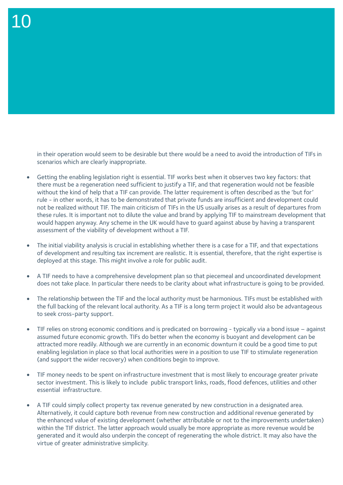in their operation would seem to be desirable but there would be a need to avoid the introduction of TIFs in scenarios which are clearly inappropriate.

- Getting the enabling legislation right is essential. TIF works best when it observes two key factors: that there must be a regeneration need sufficient to justify a TIF, and that regeneration would not be feasible without the kind of help that a TIF can provide. The latter requirement is often described as the 'but for' rule - in other words, it has to be demonstrated that private funds are insufficient and development could not be realized without TIF. The main criticism of TIFs in the US usually arises as a result of departures from these rules. It is important not to dilute the value and brand by applying TIF to mainstream development that would happen anyway. Any scheme in the UK would have to guard against abuse by having a transparent assessment of the viability of development without a TIF.
- The initial viability analysis is crucial in establishing whether there is a case for a TIF, and that expectations of development and resulting tax increment are realistic. It is essential, therefore, that the right expertise is deployed at this stage. This might involve a role for public audit.
- A TIF needs to have a comprehensive development plan so that piecemeal and uncoordinated development does not take place. In particular there needs to be clarity about what infrastructure is going to be provided.
- The relationship between the TIF and the local authority must be harmonious. TIFs must be established with the full backing of the relevant local authority. As a TIF is a long term project it would also be advantageous to seek cross-party support.
- TIF relies on strong economic conditions and is predicated on borrowing typically via a bond issue against assumed future economic growth. TIFs do better when the economy is buoyant and development can be attracted more readily. Although we are currently in an economic downturn it could be a good time to put enabling legislation in place so that local authorities were in a position to use TIF to stimulate regeneration (and support the wider recovery) when conditions begin to improve.
- TIF money needs to be spent on infrastructure investment that is most likely to encourage greater private sector investment. This is likely to include public transport links, roads, flood defences, utilities and other essential infrastructure.
- A TIF could simply collect property tax revenue generated by new construction in a designated area. Alternatively, it could capture both revenue from new construction and additional revenue generated by the enhanced value of existing development (whether attributable or not to the improvements undertaken) within the TIF district. The latter approach would usually be more appropriate as more revenue would be generated and it would also underpin the concept of regenerating the whole district. It may also have the virtue of greater administrative simplicity.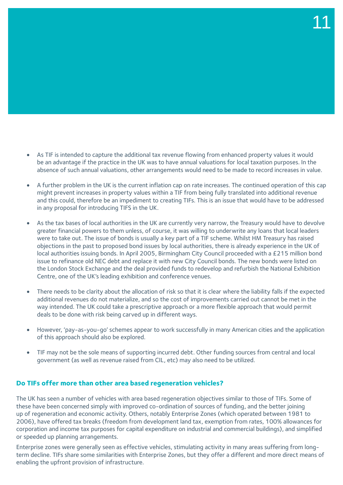- As TIF is intended to capture the additional tax revenue flowing from enhanced property values it would be an advantage if the practice in the UK was to have annual valuations for local taxation purposes. In the absence of such annual valuations, other arrangements would need to be made to record increases in value.
- A further problem in the UK is the current inflation cap on rate increases. The continued operation of this cap might prevent increases in property values within a TIF from being fully translated into additional revenue and this could, therefore be an impediment to creating TIFs. This is an issue that would have to be addressed in any proposal for introducing TIFS in the UK.
- As the tax bases of local authorities in the UK are currently very narrow, the Treasury would have to devolve greater financial powers to them unless, of course, it was willing to underwrite any loans that local leaders were to take out. The issue of bonds is usually a key part of a TIF scheme. Whilst HM Treasury has raised objections in the past to proposed bond issues by local authorities, there is already experience in the UK of local authorities issuing bonds. In April 2005, Birmingham City Council proceeded with a £215 million bond issue to refinance old NEC debt and replace it with new City Council bonds. The new bonds were listed on the London Stock Exchange and the deal provided funds to redevelop and refurbish the National Exhibition Centre, one of the UK's leading exhibition and conference venues.
- There needs to be clarity about the allocation of risk so that it is clear where the liability falls if the expected additional revenues do not materialize, and so the cost of improvements carried out cannot be met in the way intended. The UK could take a prescriptive approach or a more flexible approach that would permit deals to be done with risk being carved up in different ways.
- However, 'pay-as-you-go' schemes appear to work successfully in many American cities and the application of this approach should also be explored.
- TIF may not be the sole means of supporting incurred debt. Other funding sources from central and local government (as well as revenue raised from CIL, etc) may also need to be utilized.

# **Do TIFs offer more than other area based regeneration vehicles?**

The UK has seen a number of vehicles with area based regeneration objectives similar to those of TIFs. Some of these have been concerned simply with improved co-ordination of sources of funding, and the better joining up of regeneration and economic activity. Others, notably Enterprise Zones (which operated between 1981 to 2006), have offered tax breaks (freedom from development land tax, exemption from rates, 100% allowances for corporation and income tax purposes for capital expenditure on industrial and commercial buildings), and simplified or speeded up planning arrangements.

Enterprise zones were generally seen as effective vehicles, stimulating activity in many areas suffering from longterm decline. TIFs share some similarities with Enterprise Zones, but they offer a different and more direct means of enabling the upfront provision of infrastructure.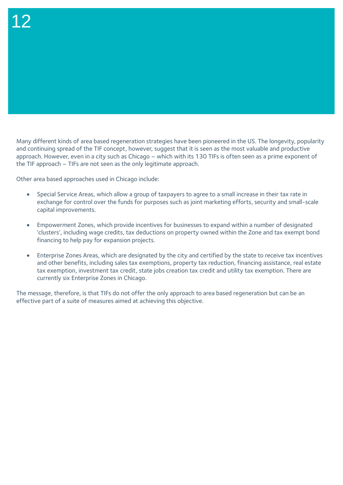Many different kinds of area based regeneration strategies have been pioneered in the US. The longevity, popularity and continuing spread of the TIF concept, however, suggest that it is seen as the most valuable and productive approach. However, even in a city such as Chicago – which with its 130 TIFs is often seen as a prime exponent of the TIF approach – TIFs are not seen as the only legitimate approach.

Other area based approaches used in Chicago include:

- Special Service Areas, which allow a group of taxpayers to agree to a small increase in their tax rate in exchange for control over the funds for purposes such as joint marketing efforts, security and small-scale capital improvements.
- Empowerment Zones, which provide incentives for businesses to expand within a number of designated 'clusters', including wage credits, tax deductions on property owned within the Zone and tax exempt bond financing to help pay for expansion projects.
- Enterprise Zones Areas, which are designated by the city and certified by the state to receive tax incentives and other benefits, including sales tax exemptions, property tax reduction, financing assistance, real estate tax exemption, investment tax credit, state jobs creation tax credit and utility tax exemption. There are currently six Enterprise Zones in Chicago.

The message, therefore, is that TIFs do not offer the only approach to area based regeneration but can be an effective part of a suite of measures aimed at achieving this objective.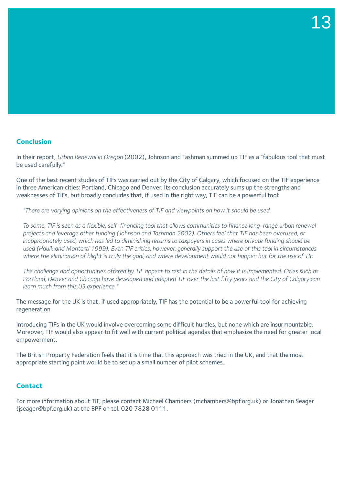# **Conclusion**

In their report, *Urban Renewal in Oregon* (2002), Johnson and Tashman summed up TIF as a "fabulous tool that must be used carefully."

One of the best recent studies of TIFs was carried out by the City of Calgary, which focused on the TIF experience in three American cities: Portland, Chicago and Denver. Its conclusion accurately sums up the strengths and weaknesses of TIFs, but broadly concludes that, if used in the right way, TIF can be a powerful tool:

*"There are varying opinions on the effectiveness of TIF and viewpoints on how it should be used.* 

*To some, TIF is seen as a flexible, self-financing tool that allows communities to finance long-range urban renewal projects and leverage other funding (Johnson and Tashman 2002). Others feel that TIF has been overused, or inappropriately used, which has led to diminishing returns to taxpayers in cases where private funding should be used (Haulk and Montarti 1999). Even TIF critics, however, generally support the use of this tool in circumstances where the elimination of blight is truly the goal, and where development would not happen but for the use of TIF.* 

*The challenge and opportunities offered by TIF appear to rest in the details of how it is implemented. Cities such as Portland, Denver and Chicago have developed and adapted TIF over the last fifty years and the City of Calgary can learn much from this US experience."* 

The message for the UK is that, if used appropriately, TIF has the potential to be a powerful tool for achieving regeneration.

Introducing TIFs in the UK would involve overcoming some difficult hurdles, but none which are insurmountable. Moreover, TIF would also appear to fit well with current political agendas that emphasize the need for greater local empowerment.

The British Property Federation feels that it is time that this approach was tried in the UK, and that the most appropriate starting point would be to set up a small number of pilot schemes.

## **Contact**

For more information about TIF, please contact Michael Chambers (mchambers@bpf.org.uk) or Jonathan Seager (jseager@bpf.org.uk) at the BPF on tel. 020 7828 0111.